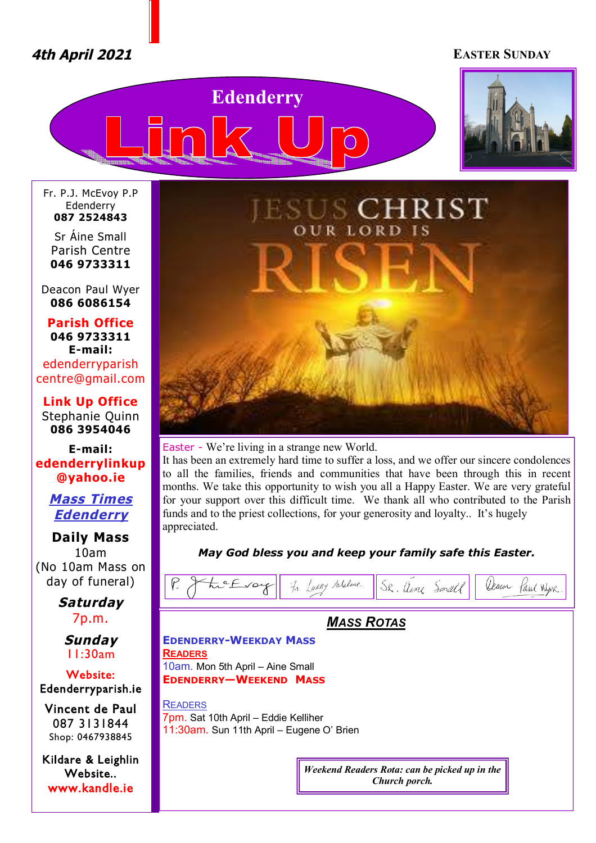# *4th April 2021* **EASTER SUNDAY**





Fr. P.J. McEvoy P.P Edenderry **087 2524843**

Sr Áine Small Parish Centre **046 9733311**

Deacon Paul Wyer **086 6086154**

**Parish Office 046 9733311 E-mail:** edenderryparish [centre@gmail.com](mailto:centre@gmail.com)

**Link Up Office** Stephanie Quinn **086 3954046**

**E-mail: edenderrylinkup [@yahoo.ie](mailto:@yahoo.ie)**

> *Mass Times Edenderry*

**Daily Mass** 10am (No 10am Mass on day of funeral)

> *Saturday* 7p.m.

*Sunday* 11:30am

**Website: Edenderryparish.ie**

**Vincent de Paul**  087 3131844 Shop: 0467938845

**Kildare & Leighlin Website.. [www.kandle.ie](http://www.kandle.ie)** 



Easter - We're living in a strange new World.

It has been an extremely hard time to suffer a loss, and we offer our sincere condolences to all the families, friends and communities that have been through this in recent months. We take this opportunity to wish you all a Happy Easter. We are very grateful for your support over this difficult time. We thank all who contributed to the Parish funds and to the priest collections, for your generosity and loyalty.. It's hugely appreciated.

*May God bless you and keep your family safe this Easter.* 

| In Larry Malme.<br>$\mathcal{V}$<br>tre Evoy<br>SR. aline Small<br>Jeanor<br>Paul Wyer              |
|-----------------------------------------------------------------------------------------------------|
| <b>MASS ROTAS</b>                                                                                   |
| <b>EDENDERRY-WEEKDAY MASS</b><br><b>READERS</b>                                                     |
| 10am. Mon 5th April - Aine Small<br><b>EDENDERRY-WEEKEND MASS</b>                                   |
| <b>READERS</b><br>7pm. Sat 10th April - Eddie Kelliher<br>11:30am. Sun 11th April - Eugene O' Brien |
| Weekend Readers Rota: can be picked up in the<br>Church porch.                                      |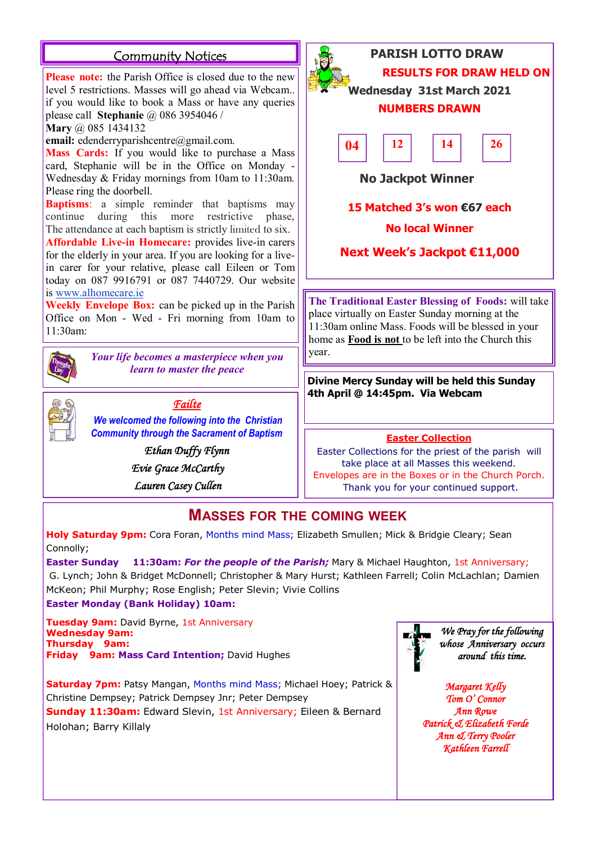# **Community Notices**

**Please note:** the Parish Office is closed due to the new level 5 restrictions. Masses will go ahead via Webcam.. if you would like to book a Mass or have any queries please call **Stephanie** @ 086 3954046 /

**Mary** @ 085 1434132

**email:** [edenderryparishcentre@gmail.com.](mailto:edenderryparishcentre@gmail.com.)

**Mass Cards:** If you would like to purchase a Mass card, Stephanie will be in the Office on Monday - Wednesday & Friday mornings from 10am to 11:30am. Please ring the doorbell.

**Baptisms**: a simple reminder that baptisms may continue during this more restrictive phase, The attendance at each baptism is strictly limited to six.

**Affordable Live-in Homecare:** provides live-in carers for the elderly in your area. If you are looking for a livein carer for your relative, please call Eileen or Tom today on 087 9916791 or 087 7440729. Our website is [www.alhomecare.ie](http://www.alhomecare.ie)

**Weekly Envelope Box:** can be picked up in the Parish Office on Mon - Wed - Fri morning from 10am to 11:30am:



Your life becomes a masterpiece when you  $\|$  year. *learn to master the peace*



*Failte* 

*We welcomed the following into the Christian Community through the Sacrament of Baptism*

> *Ethan Duffy Flynn Evie Grace McCarthy*

 *Lauren Casey Cullen* 



**15 Matched 3's won €67 each**

# **No local Winner**

**Next Week's Jackpot €11,000**

**The Traditional Easter Blessing of Foods:** will take place virtually on Easter Sunday morning at the 11:30am online Mass. Foods will be blessed in your home as **Food is not** to be left into the Church this

**Divine Mercy Sunday will be held this Sunday 4th April @ 14:45pm. Via Webcam**

# **Easter Collection**

Easter Collections for the priest of the parish will take place at all Masses this weekend. Envelopes are in the Boxes or in the Church Porch. Thank you for your continued support.

# **MASSES FOR THE COMING WEEK**

**Holy Saturday 9pm:** Cora Foran, Months mind Mass; Elizabeth Smullen; Mick & Bridgie Cleary; Sean Connolly;

**Easter Sunday 11:30am:** *For the people of the Parish;* Mary & Michael Haughton, 1st Anniversary; G. Lynch; John & Bridget McDonnell; Christopher & Mary Hurst; Kathleen Farrell; Colin McLachlan; Damien McKeon; Phil Murphy; Rose English; Peter Slevin; Vivie Collins

**Easter Monday (Bank Holiday) 10am:** 

**Tuesday 9am:** David Byrne, 1st Anniversary **Wednesday 9am: Thursday 9am: Friday 9am: Mass Card Intention;** David Hughes

**Saturday 7pm:** Patsy Mangan, Months mind Mass; Michael Hoey; Patrick & Christine Dempsey; Patrick Dempsey Jnr; Peter Dempsey

**Sunday 11:30am:** Edward Slevin, 1st Anniversary; Eileen & Bernard Holohan; Barry Killaly



*We Pray for the following whose Anniversary occurs around this time.* 

*Margaret Kelly Tom O' Connor Ann Rowe Patrick & Elizabeth Forde Ann & Terry Pooler Kathleen Farrell*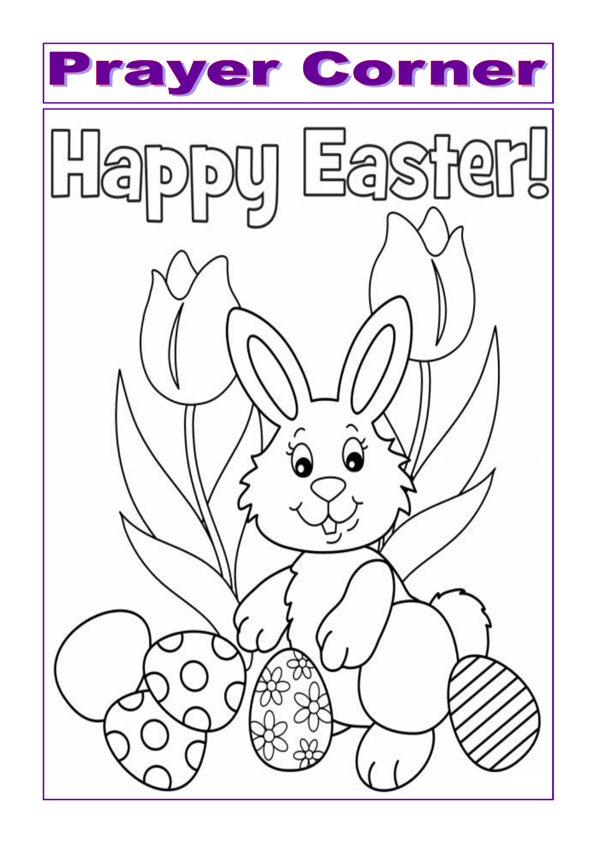